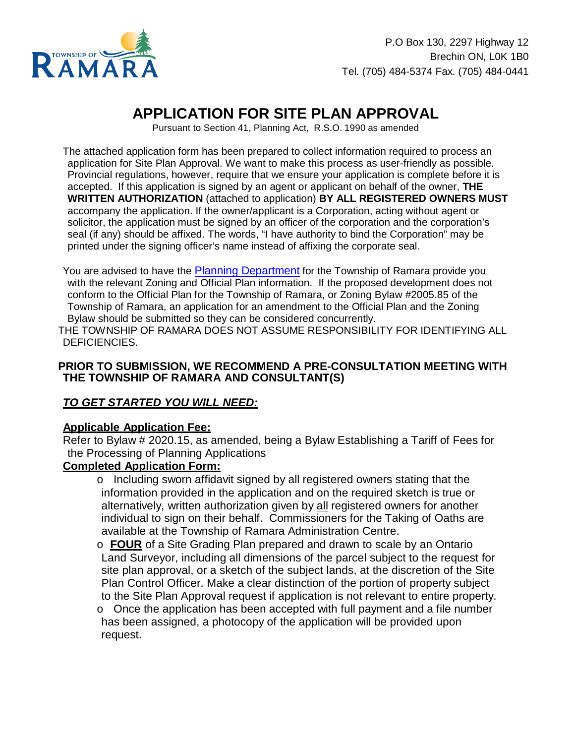

# **APPLICATION FOR SITE PLAN APPROVAL**

Pursuant to Section 41, Planning Act, R.S.O. 1990 as amended

The attached application form has been prepared to collect information required to process an application for Site Plan Approval. We want to make this process as user-friendly as possible. Provincial regulations, however, require that we ensure your application is complete before it is accepted. If this application is signed by an agent or applicant on behalf of the owner, **THE WRITTEN AUTHORIZATION** (attached to application) **BY ALL REGISTERED OWNERS MUST** accompany the application. If the owner/applicant is a Corporation, acting without agent or solicitor, the application must be signed by an officer of the corporation and the corporation's seal (if any) should be affixed. The words, "I have authority to bind the Corporation" may be printed under the signing officer's name instead of affixing the corporate seal.

You are advised to have the [Planning Department](https://www.ramara.ca/i-want-to/contact-the-municipality) for the Township of Ramara provide you with the relevant Zoning and Official Plan information. If the proposed development does not conform to the Official Plan for the Township of Ramara, or Zoning Bylaw #2005.85 of the Township of Ramara, an application for an amendment to the Official Plan and the Zoning Bylaw should be submitted so they can be considered concurrently.

THE TOW NSHIP OF RAMARA DOES NOT ASSUME RESPONSIBILITY FOR IDENTIFYING ALL DEFICIENCIES.

#### **PRIOR TO SUBMISSION, WE RECOMMEND A PRE-CONSULTATION MEETING WITH THE TOWNSHIP OF RAMARA AND CONSULTANT(S)**

#### *TO GET STARTED YOU WILL NEED:*

#### **Applicable Application Fee:**

Refer to Bylaw # 2020.15, as amended, being a Bylaw Establishing a Tariff of Fees for the Processing of Planning Applications

#### **Completed Application Form:**

- o Including sworn affidavit signed by all registered owners stating that the information provided in the application and on the required sketch is true or alternatively, written authorization given by all registered owners for another individual to sign on their behalf. Commissioners for the Taking of Oaths are available at the Township of Ramara Administration Centre.
- o **FOUR** of a Site Grading Plan prepared and drawn to scale by an Ontario Land Surveyor, including all dimensions of the parcel subject to the request for site plan approval, or a sketch of the subject lands, at the discretion of the Site Plan Control Officer. Make a clear distinction of the portion of property subject to the Site Plan Approval request if application is not relevant to entire property.

o Once the application has been accepted with full payment and a file number has been assigned, a photocopy of the application will be provided upon request.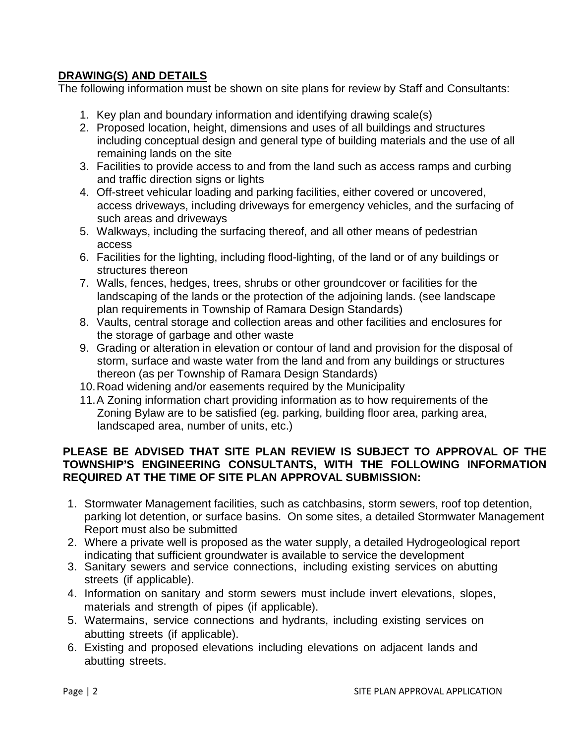### **DRAWING(S) AND DETAILS**

The following information must be shown on site plans for review by Staff and Consultants:

- 1. Key plan and boundary information and identifying drawing scale(s)
- 2. Proposed location, height, dimensions and uses of all buildings and structures including conceptual design and general type of building materials and the use of all remaining lands on the site
- 3. Facilities to provide access to and from the land such as access ramps and curbing and traffic direction signs or lights
- 4. Off-street vehicular loading and parking facilities, either covered or uncovered, access driveways, including driveways for emergency vehicles, and the surfacing of such areas and driveways
- 5. Walkways, including the surfacing thereof, and all other means of pedestrian access
- 6. Facilities for the lighting, including flood-lighting, of the land or of any buildings or structures thereon
- 7. Walls, fences, hedges, trees, shrubs or other groundcover or facilities for the landscaping of the lands or the protection of the adjoining lands. (see landscape plan requirements in Township of Ramara Design Standards)
- 8. Vaults, central storage and collection areas and other facilities and enclosures for the storage of garbage and other waste
- 9. Grading or alteration in elevation or contour of land and provision for the disposal of storm, surface and waste water from the land and from any buildings or structures thereon (as per Township of Ramara Design Standards)
- 10.Road widening and/or easements required by the Municipality
- 11.A Zoning information chart providing information as to how requirements of the Zoning Bylaw are to be satisfied (eg. parking, building floor area, parking area, landscaped area, number of units, etc.)

#### **PLEASE BE ADVISED THAT SITE PLAN REVIEW IS SUBJECT TO APPROVAL OF THE TOWNSHIP'S ENGINEERING CONSULTANTS, WITH THE FOLLOWING INFORMATION REQUIRED AT THE TIME OF SITE PLAN APPROVAL SUBMISSION:**

- 1. Stormwater Management facilities, such as catchbasins, storm sewers, roof top detention, parking lot detention, or surface basins. On some sites, a detailed Stormwater Management Report must also be submitted
- 2. Where a private well is proposed as the water supply, a detailed Hydrogeological report indicating that sufficient groundwater is available to service the development
- 3. Sanitary sewers and service connections, including existing services on abutting streets (if applicable).
- 4. Information on sanitary and storm sewers must include invert elevations, slopes, materials and strength of pipes (if applicable).
- 5. Watermains, service connections and hydrants, including existing services on abutting streets (if applicable).
- 6. Existing and proposed elevations including elevations on adjacent lands and abutting streets.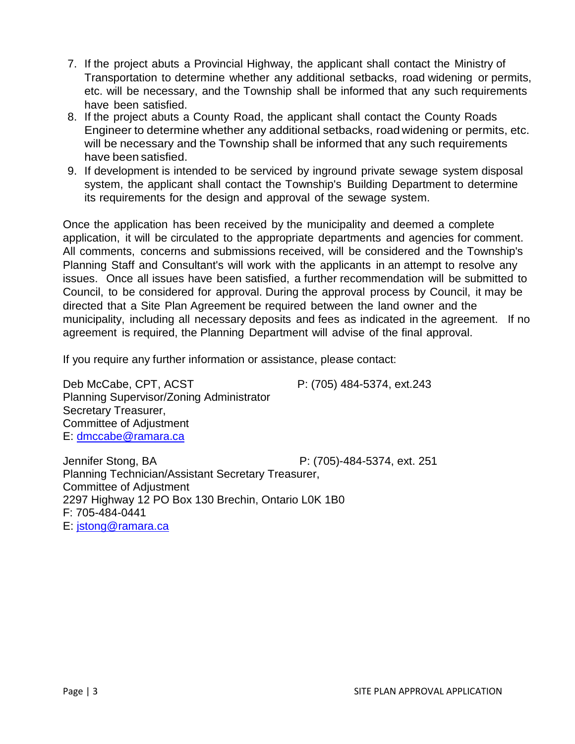- 7. If the project abuts a Provincial Highway, the applicant shall contact the Ministry of Transportation to determine whether any additional setbacks, road widening or permits, etc. will be necessary, and the Township shall be informed that any such requirements have been satisfied.
- 8. If the project abuts a County Road, the applicant shall contact the County Roads Engineer to determine whether any additional setbacks, road widening or permits, etc. will be necessary and the Township shall be informed that any such requirements have been satisfied.
- 9. If development is intended to be serviced by inground private sewage system disposal system, the applicant shall contact the Township's Building Department to determine its requirements for the design and approval of the sewage system.

Once the application has been received by the municipality and deemed a complete application, it will be circulated to the appropriate departments and agencies for comment. All comments, concerns and submissions received, will be considered and the Township's Planning Staff and Consultant's will work with the applicants in an attempt to resolve any issues. Once all issues have been satisfied, a further recommendation will be submitted to Council, to be considered for approval. During the approval process by Council, it may be directed that a Site Plan Agreement be required between the land owner and the municipality, including all necessary deposits and fees as indicated in the agreement. If no agreement is required, the Planning Department will advise of the final approval.

If you require any further information or assistance, please contact:

Deb McCabe, CPT, ACST P: (705) 484-5374, ext.243 Planning Supervisor/Zoning Administrator Secretary Treasurer, Committee of Adjustment E: [dmccabe@ramara.ca](mailto:dmccabe@ramara.ca)  Jennifer Stong, BA P: (705)-484-5374, ext. 251 Planning Technician/Assistant Secretary Treasurer,

Committee of Adjustment 2297 Highway 12 PO Box 130 Brechin, Ontario L0K 1B0 F: 705-484-0441

E: [jstong@ramara.ca](mailto:jstong@ramara.ca)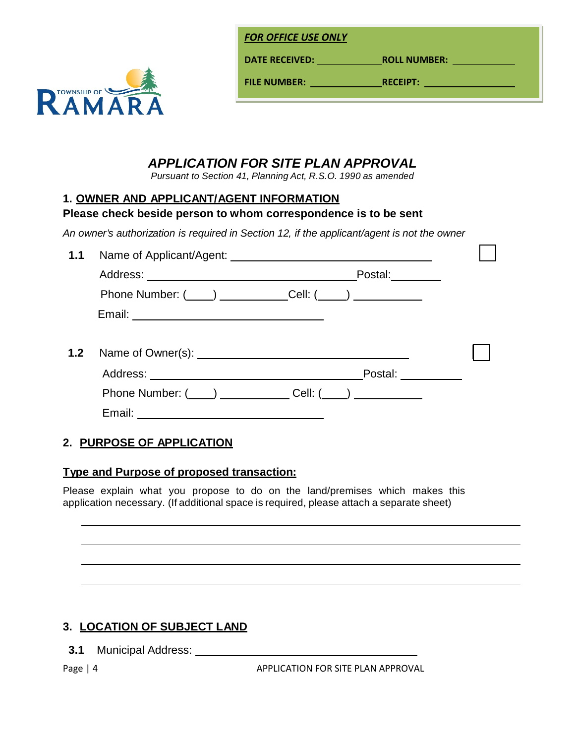

**DATE RECEIVED: ROLL NUMBE R:** 

**FILE NUMBER:** 

**RECEIPT: RECEIPT:** *RECEIPT:* 

# *APPLICATION FOR SITE PLAN APPROVAL*

*Pursuant to Section 41, Planning Act, R.S.O. 1990 as amended*

### **1. OWNER AND APPLICANT/AGENT INFORMATION**

### **Please check beside person to whom correspondence is to be sent**

*An owner's authorization is required in Section 12, if the applicant/agent is not the owner*

| 1.1 |                                             |                   |  |
|-----|---------------------------------------------|-------------------|--|
|     |                                             | Postal:           |  |
|     | Phone Number: $(\_\_\_\_)$ Cell: $(\_\_\_)$ |                   |  |
|     |                                             |                   |  |
|     |                                             |                   |  |
|     |                                             | Postal: _________ |  |
|     | Phone Number: $(\_)$ Cell: $(\_)$           |                   |  |
|     |                                             |                   |  |

## **2. PURPOSE OF APPLICATION**

## **Type and Purpose of proposed transaction:**

Please explain what you propose to do on the land/premises which makes this application necessary. (If additional space is required, please attach a separate sheet)

## **3. LOCATION OF SUBJECT LAND**

**3.1** Municipal Address:

Page | 4 APPLICATION FOR SITE PLAN APPROVAL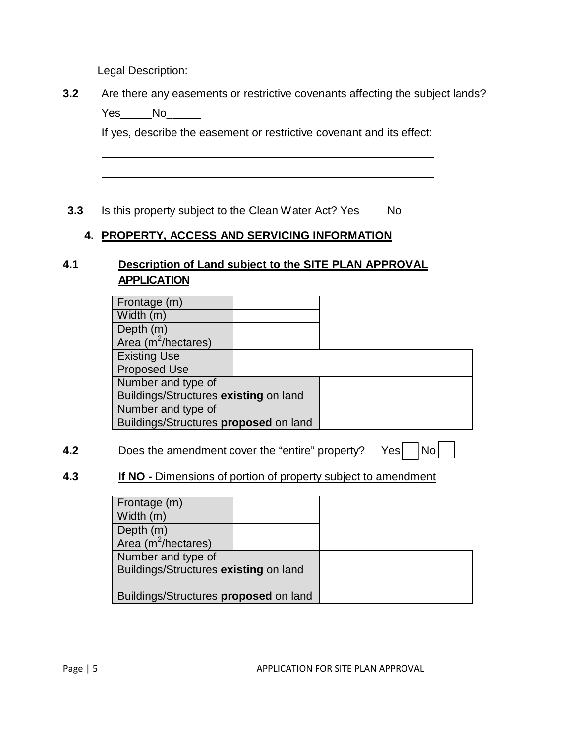Legal Description: <u>contract the contract of the contract of the contract of the contract of the contract of the contract of the contract of the contract of the contract of the contract of the contract of the contract of t</u>

**3.2** Are there any easements or restrictive covenants affecting the subject lands?

Yes\_\_\_\_\_No\_\_\_\_\_\_

If yes, describe the easement or restrictive covenant and its effect:

**3.3** Is this property subject to the Clean Water Act? Yes \_\_\_\_ No\_\_\_\_\_

### **4. PROPERTY, ACCESS AND SERVICING INFORMATION**

### **4.1 Description of Land subject to the SITE PLAN APPROVAL APPLICATION**

| Frontage (m)                          |  |  |
|---------------------------------------|--|--|
| Width $(m)$                           |  |  |
| Depth $(m)$                           |  |  |
| Area (m <sup>2</sup> /hectares)       |  |  |
| <b>Existing Use</b>                   |  |  |
| <b>Proposed Use</b>                   |  |  |
| Number and type of                    |  |  |
| Buildings/Structures existing on land |  |  |
| Number and type of                    |  |  |
| Buildings/Structures proposed on land |  |  |

- **4.2** Does the amendment cover the "entire" property? Yes No
- 

### **4.3 If NO -** Dimensions of portion of property subject to amendment

| Frontage (m)                          |  |  |
|---------------------------------------|--|--|
| Width (m)                             |  |  |
| Depth $(m)$                           |  |  |
| Area (m <sup>2</sup> /hectares)       |  |  |
| Number and type of                    |  |  |
| Buildings/Structures existing on land |  |  |
|                                       |  |  |
| Buildings/Structures proposed on land |  |  |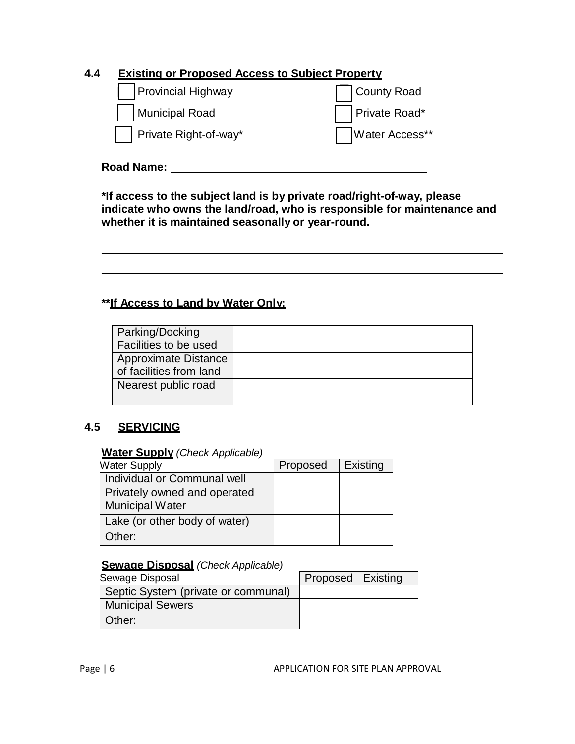## **4.4 Existing or Proposed Access to Subject Property**

| <b>Provincial Highway</b> | County Road    |
|---------------------------|----------------|
| Municipal Road            | Private Road*  |
| Private Right-of-way*     | Water Access** |

# **Road Name:**

**\*If access to the subject land is by private road/right-of-way, please indicate who owns the land/road, who is responsible for maintenance and whether it is maintained seasonally or year-round.**

### **\*\*If Access to Land by Water Only:**

| Parking/Docking         |  |
|-------------------------|--|
| Facilities to be used   |  |
| Approximate Distance    |  |
| of facilities from land |  |
| Nearest public road     |  |
|                         |  |

#### **4.5 SERVICING**

#### **Water Supply** *(Check Applicable)*

| <b>Water Supply</b>           | Proposed | Existing |
|-------------------------------|----------|----------|
| Individual or Communal well   |          |          |
| Privately owned and operated  |          |          |
| <b>Municipal Water</b>        |          |          |
| Lake (or other body of water) |          |          |
| Other:                        |          |          |

#### **Sewage Disposal** *(Check Applicable)*

| Sewage Disposal                     | Proposed   Existing |  |  |
|-------------------------------------|---------------------|--|--|
| Septic System (private or communal) |                     |  |  |
| <b>Municipal Sewers</b>             |                     |  |  |
| Other:                              |                     |  |  |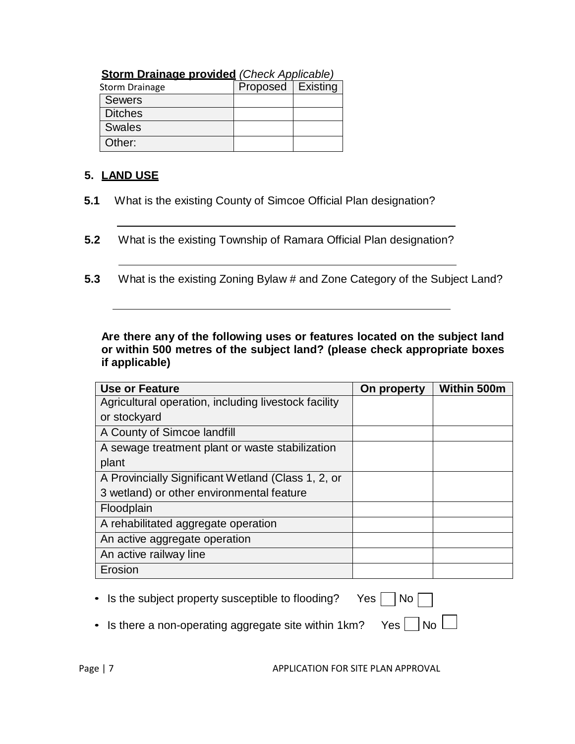| <b>Storm Drainage provided (Check Applicable)</b> |                     |  |  |  |  |  |
|---------------------------------------------------|---------------------|--|--|--|--|--|
| <b>Storm Drainage</b>                             | Proposed   Existing |  |  |  |  |  |
| <b>Sewers</b>                                     |                     |  |  |  |  |  |
| <b>Ditches</b>                                    |                     |  |  |  |  |  |
| <b>Swales</b>                                     |                     |  |  |  |  |  |
| Other:                                            |                     |  |  |  |  |  |

# **5. LAND USE**

- **5.1** What is the existing County of Simcoe Official Plan designation?
- **5.2** What is the existing Township of Ramara Official Plan designation?
- **5.3** What is the existing Zoning Bylaw # and Zone Category of the Subject Land?

**Are there any of the following uses or features located on the subject land or within 500 metres of the subject land? (please check appropriate boxes if applicable)**

| <b>Use or Feature</b>                                | On property | Within 500m |
|------------------------------------------------------|-------------|-------------|
| Agricultural operation, including livestock facility |             |             |
| or stockyard                                         |             |             |
| A County of Simcoe landfill                          |             |             |
| A sewage treatment plant or waste stabilization      |             |             |
| plant                                                |             |             |
| A Provincially Significant Wetland (Class 1, 2, or   |             |             |
| 3 wetland) or other environmental feature            |             |             |
| Floodplain                                           |             |             |
| A rehabilitated aggregate operation                  |             |             |
| An active aggregate operation                        |             |             |
| An active railway line                               |             |             |
| Erosion                                              |             |             |

- Is the subject property susceptible to flooding? Yes  $\Box$  No [
	-
- Is there a non-operating aggregate site within 1km? Yes  $\Box$  No  $\Box$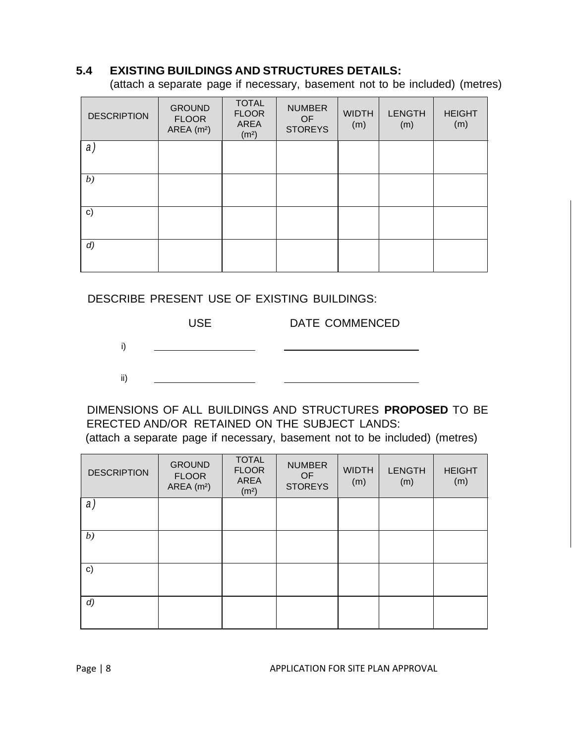#### **5.4 EXISTING BUILDINGS AND STRUCTURES DETAILS:**

(attach a separate page if necessary, basement not to be included) (metres)

| <b>DESCRIPTION</b> | <b>GROUND</b><br><b>FLOOR</b><br>AREA $(m2)$ | <b>TOTAL</b><br><b>FLOOR</b><br>AREA<br>(m <sup>2</sup> ) | <b>NUMBER</b><br><b>OF</b><br><b>STOREYS</b> | <b>WIDTH</b><br>(m) | <b>LENGTH</b><br>(m) | <b>HEIGHT</b><br>(m) |
|--------------------|----------------------------------------------|-----------------------------------------------------------|----------------------------------------------|---------------------|----------------------|----------------------|
| a)                 |                                              |                                                           |                                              |                     |                      |                      |
| b)                 |                                              |                                                           |                                              |                     |                      |                      |
| $\mathsf{c})$      |                                              |                                                           |                                              |                     |                      |                      |
| $\left( d \right)$ |                                              |                                                           |                                              |                     |                      |                      |

#### DESCRIBE PRESENT USE OF EXISTING BUILDINGS:



DIMENSIONS OF ALL BUILDINGS AND STRUCTURES **PROPOSED** TO BE ERECTED AND/OR RETAINED ON THE SUBJECT LANDS: (attach a separate page if necessary, basement not to be included) (metres)

| <b>DESCRIPTION</b> | <b>GROUND</b><br><b>FLOOR</b><br>AREA $(m2)$ | <b>TOTAL</b><br><b>FLOOR</b><br><b>AREA</b><br>(m <sup>2</sup> ) | <b>NUMBER</b><br>OF<br><b>STOREYS</b> | <b>WIDTH</b><br>(m) | <b>LENGTH</b><br>(m) | <b>HEIGHT</b><br>(m) |
|--------------------|----------------------------------------------|------------------------------------------------------------------|---------------------------------------|---------------------|----------------------|----------------------|
| a)                 |                                              |                                                                  |                                       |                     |                      |                      |
| b)                 |                                              |                                                                  |                                       |                     |                      |                      |
| c)                 |                                              |                                                                  |                                       |                     |                      |                      |
| $\left( d \right)$ |                                              |                                                                  |                                       |                     |                      |                      |

Page | 8 APPLICATION FOR SITE PLAN APPROVAL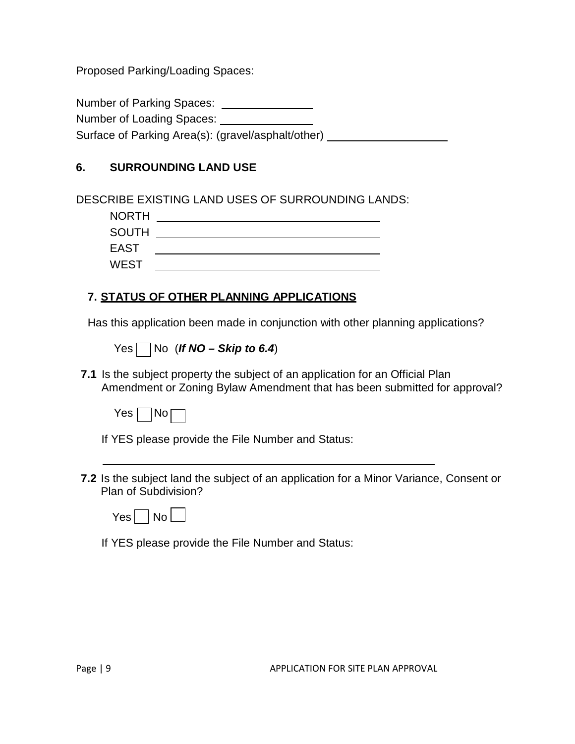Proposed Parking/Loading Spaces:

Number of Parking Spaces: \_\_\_\_\_\_\_\_\_\_\_\_\_\_\_

Number of Loading Spaces:

Surface of Parking Area(s): (gravel/asphalt/other)

## **6. SURROUNDING LAND USE**

DESCRIBE EXISTING LAND USES OF SURROUNDING LANDS:

| <b>NORTH</b> |  |
|--------------|--|
| <b>SOUTH</b> |  |
| <b>EAST</b>  |  |
| <b>WEST</b>  |  |

## **7. STATUS OF OTHER PLANNING APPLICATIONS**

Has this application been made in conjunction with other planning applications?

 $Yes \nightharpoonup No$  (*If NO – Skip to 6.4*)

**7.1** Is the subject property the subject of an application for an Official Plan Amendment or Zoning Bylaw Amendment that has been submitted for approval?



If YES please provide the File Number and Status:

**7.2** Is the subject land the subject of an application for a Minor Variance, Consent or Plan of Subdivision?

If YES please provide the File Number and Status: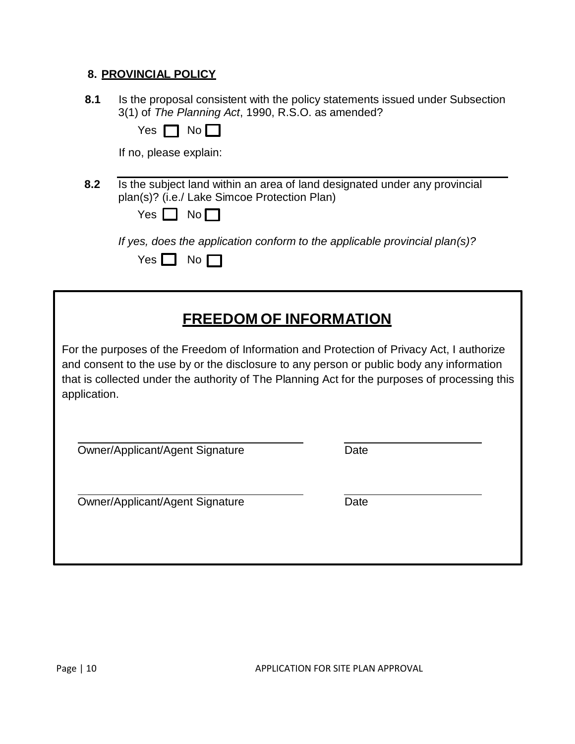#### **8. PROVINCIAL POLICY**

| 8.1 | Is the proposal consistent with the policy statements issued under Subsection |
|-----|-------------------------------------------------------------------------------|
|     | 3(1) of The Planning Act, 1990, R.S.O. as amended?                            |

Yes  $\Box$  No  $\Box$ 

If no, please explain:

**8.2** Is the subject land within an area of land designated under any provincial plan(s)? (i.e./ Lake Simcoe Protection Plan)

| N٥<br>$\sim$<br>г |
|-------------------|
|-------------------|

*If yes, does the application conform to the applicable provincial plan(s)?*

| $\ddot{\phantom{1}}$<br>~ |  |  |
|---------------------------|--|--|
|                           |  |  |

# **FREEDOM OF INFORMATION**

For the purposes of the Freedom of Information and Protection of Privacy Act, I authorize and consent to the use by or the disclosure to any person or public body any information that is collected under the authority of The Planning Act for the purposes of processing this application.

Owner/Applicant/Agent Signature Date

Owner/Applicant/Agent Signature Date

Page | 10 APPLICATION FOR SITE PLAN APPROVAL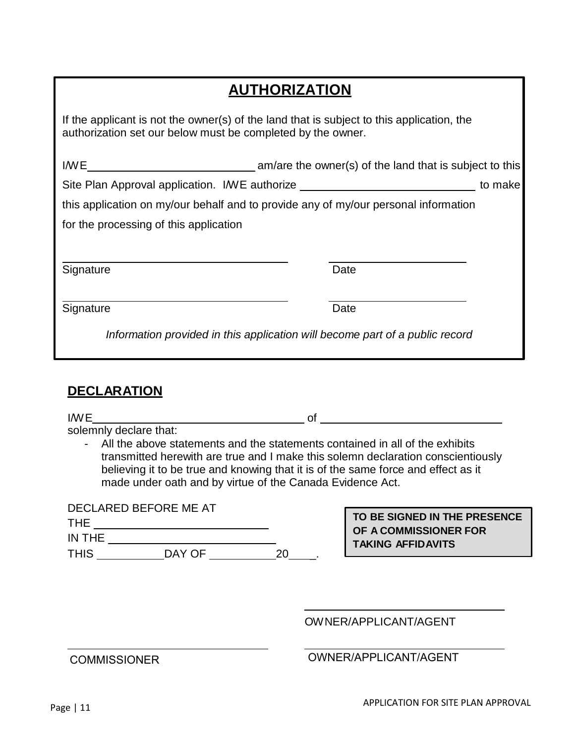# **AUTHORIZATION**

If the applicant is not the owner(s) of the land that is subject to this application, the authorization set our below must be completed by the owner.

|                                        | Site Plan Approval application. I/WE authorize _________________________________    | to make |
|----------------------------------------|-------------------------------------------------------------------------------------|---------|
|                                        | this application on my/our behalf and to provide any of my/our personal information |         |
| for the processing of this application |                                                                                     |         |
|                                        |                                                                                     |         |
| Signature                              | Date                                                                                |         |
| Signature                              | Date                                                                                |         |
|                                        | Information provided in this application will become part of a public record        |         |

## **DECLARATION**

| IWE                  |                                                                                                                                                                                                                                                                                                                    | Ωt |                              |
|----------------------|--------------------------------------------------------------------------------------------------------------------------------------------------------------------------------------------------------------------------------------------------------------------------------------------------------------------|----|------------------------------|
|                      | solemnly declare that:                                                                                                                                                                                                                                                                                             |    |                              |
|                      | All the above statements and the statements contained in all of the exhibits<br>transmitted herewith are true and I make this solemn declaration conscientiously<br>believing it to be true and knowing that it is of the same force and effect as it<br>made under oath and by virtue of the Canada Evidence Act. |    |                              |
|                      | DECLARED BEFORE ME AT                                                                                                                                                                                                                                                                                              |    | TO BE SIGNED IN THE PRESENCE |
| <b>THE</b><br>IN THE |                                                                                                                                                                                                                                                                                                                    |    | OF A COMMISSIONER FOR        |
| <b>THIS</b>          | DAY OF<br>20                                                                                                                                                                                                                                                                                                       |    | <b>TAKING AFFIDAVITS</b>     |
|                      |                                                                                                                                                                                                                                                                                                                    |    | OWNER/APPLICANT/AGENT        |

## COMMISSIONER OWNER/APPLICANT/AGENT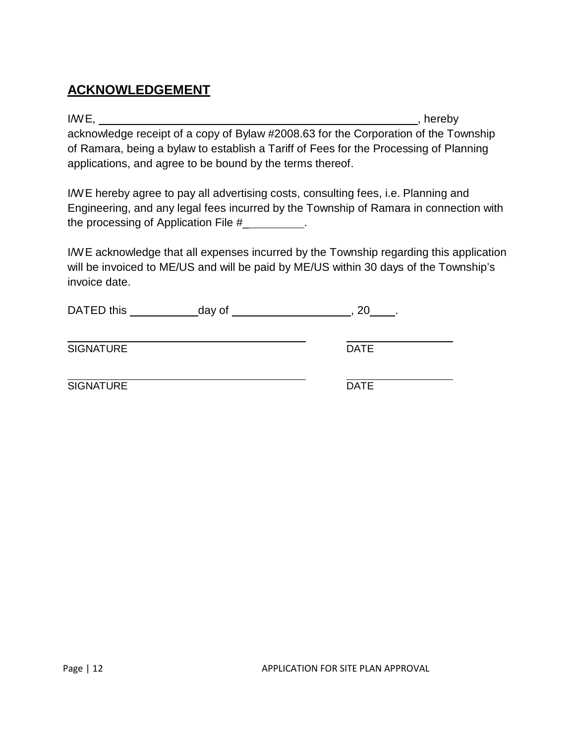## **ACKNOWLEDGEMENT**

I/W E, thereby in the set of the set of the set of the set of the set of the set of the set of the set of the set of the set of the set of the set of the set of the set of the set of the set of the set of the set of the se acknowledge receipt of a copy of Bylaw #2008.63 for the Corporation of the Township of Ramara, being a bylaw to establish a Tariff of Fees for the Processing of Planning applications, and agree to be bound by the terms thereof.

I/W E hereby agree to pay all advertising costs, consulting fees, i.e. Planning and Engineering, and any legal fees incurred by the Township of Ramara in connection with the processing of Application File #\_ .

I/W E acknowledge that all expenses incurred by the Township regarding this application will be invoiced to ME/US and will be paid by ME/US within 30 days of the Township's invoice date.

| DATED this | day of |  |
|------------|--------|--|
|            |        |  |

SIGNATURE DATE

SIGNATURE DATE